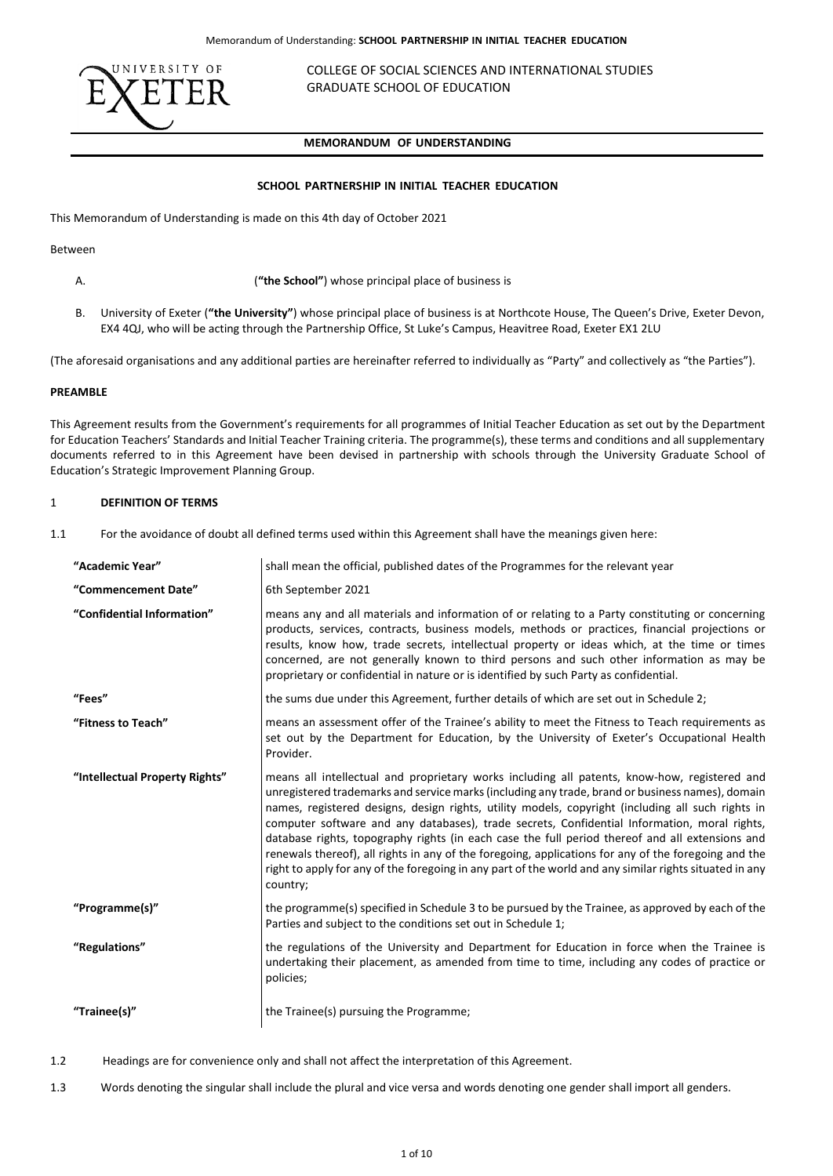

COLLEGE OF SOCIAL SCIENCES AND INTERNATIONAL STUDIES GRADUATE SCHOOL OF EDUCATION

# **MEMORANDUM OF UNDERSTANDING** GRA

#### **SCHOOL PARTNERSHIP IN INITIAL TEACHER EDUCATION**

This Memorandum of Understanding is made on this 4th day of October 2021

Between

- A. (**"the School"**) whose principal place of business is
- B. University of Exeter (**"the University"**) whose principal place of business is at Northcote House, The Queen's Drive, Exeter Devon, EX4 4QJ, who will be acting through the Partnership Office, St Luke's Campus, Heavitree Road, Exeter EX1 2LU

(The aforesaid organisations and any additional parties are hereinafter referred to individually as "Party" and collectively as "the Parties").

## **PREAMBLE**

This Agreement results from the Government's requirements for all programmes of Initial Teacher Education as set out by the Department for Education Teachers' Standards and Initial Teacher Training criteria. The programme(s), these terms and conditions and all supplementary documents referred to in this Agreement have been devised in partnership with schools through the University Graduate School of Education's Strategic Improvement Planning Group.

### 1 **DEFINITION OF TERMS**

1.1 For the avoidance of doubt all defined terms used within this Agreement shall have the meanings given here:

| "Academic Year"                | shall mean the official, published dates of the Programmes for the relevant year                                                                                                                                                                                                                                                                                                                                                                                                                                                                                                                                                                                                                                                        |  |  |
|--------------------------------|-----------------------------------------------------------------------------------------------------------------------------------------------------------------------------------------------------------------------------------------------------------------------------------------------------------------------------------------------------------------------------------------------------------------------------------------------------------------------------------------------------------------------------------------------------------------------------------------------------------------------------------------------------------------------------------------------------------------------------------------|--|--|
| "Commencement Date"            | 6th September 2021                                                                                                                                                                                                                                                                                                                                                                                                                                                                                                                                                                                                                                                                                                                      |  |  |
| "Confidential Information"     | means any and all materials and information of or relating to a Party constituting or concerning<br>products, services, contracts, business models, methods or practices, financial projections or<br>results, know how, trade secrets, intellectual property or ideas which, at the time or times<br>concerned, are not generally known to third persons and such other information as may be<br>proprietary or confidential in nature or is identified by such Party as confidential.                                                                                                                                                                                                                                                 |  |  |
| "Fees"                         | the sums due under this Agreement, further details of which are set out in Schedule 2;                                                                                                                                                                                                                                                                                                                                                                                                                                                                                                                                                                                                                                                  |  |  |
| "Fitness to Teach"             | means an assessment offer of the Trainee's ability to meet the Fitness to Teach requirements as<br>set out by the Department for Education, by the University of Exeter's Occupational Health<br>Provider.                                                                                                                                                                                                                                                                                                                                                                                                                                                                                                                              |  |  |
| "Intellectual Property Rights" | means all intellectual and proprietary works including all patents, know-how, registered and<br>unregistered trademarks and service marks (including any trade, brand or business names), domain<br>names, registered designs, design rights, utility models, copyright (including all such rights in<br>computer software and any databases), trade secrets, Confidential Information, moral rights,<br>database rights, topography rights (in each case the full period thereof and all extensions and<br>renewals thereof), all rights in any of the foregoing, applications for any of the foregoing and the<br>right to apply for any of the foregoing in any part of the world and any similar rights situated in any<br>country; |  |  |
| "Programme(s)"                 | the programme(s) specified in Schedule 3 to be pursued by the Trainee, as approved by each of the<br>Parties and subject to the conditions set out in Schedule 1;                                                                                                                                                                                                                                                                                                                                                                                                                                                                                                                                                                       |  |  |
| "Regulations"                  | the regulations of the University and Department for Education in force when the Trainee is<br>undertaking their placement, as amended from time to time, including any codes of practice or<br>policies;                                                                                                                                                                                                                                                                                                                                                                                                                                                                                                                               |  |  |
| "Trainee(s)"                   | the Trainee(s) pursuing the Programme;                                                                                                                                                                                                                                                                                                                                                                                                                                                                                                                                                                                                                                                                                                  |  |  |

- 1.2 Headings are for convenience only and shall not affect the interpretation of this Agreement.
- 1.3 Words denoting the singular shall include the plural and vice versa and words denoting one gender shall import all genders.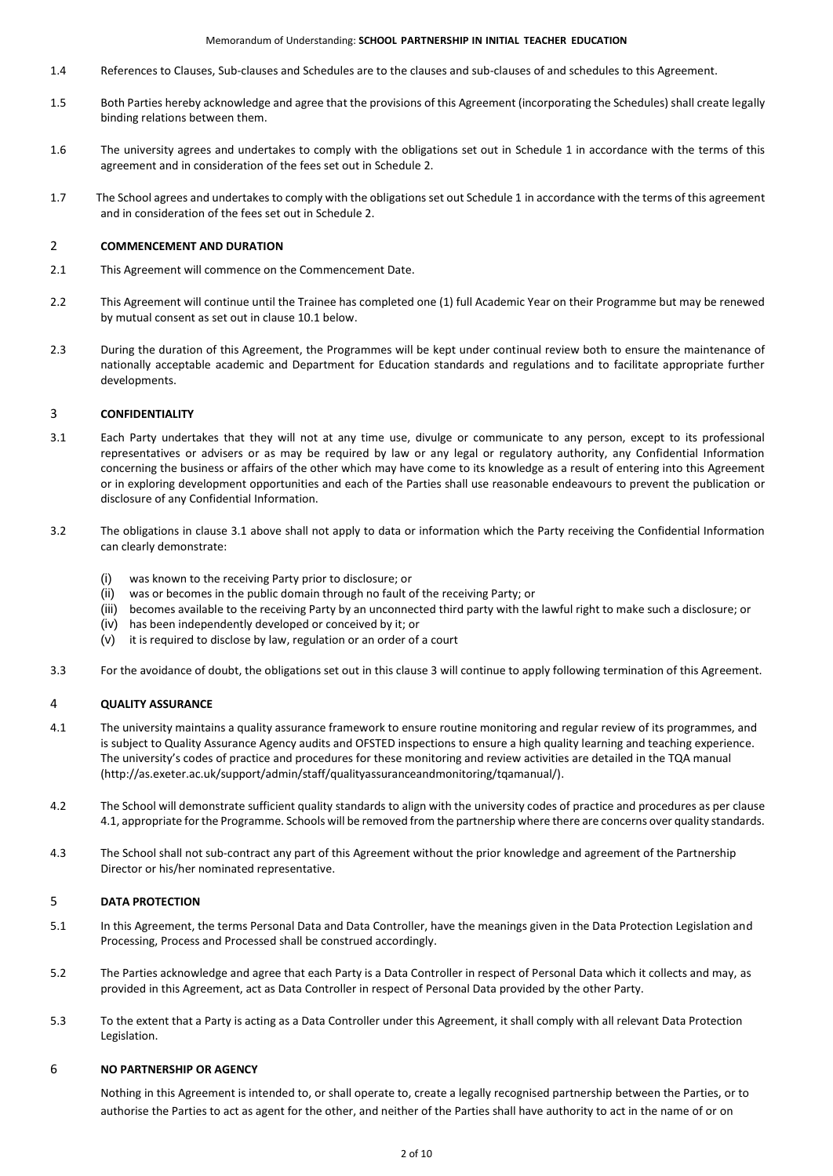#### Memorandum of Understanding: **SCHOOL PARTNERSHIP IN INITIAL TEACHER EDUCATION**

- 1.4 References to Clauses, Sub-clauses and Schedules are to the clauses and sub-clauses of and schedules to this Agreement.
- 1.5 Both Parties hereby acknowledge and agree that the provisions of this Agreement (incorporating the Schedules) shall create legally binding relations between them.
- 1.6 The university agrees and undertakes to comply with the obligations set out in Schedule 1 in accordance with the terms of this agreement and in consideration of the fees set out in Schedule 2.
- 1.7 The School agrees and undertakes to comply with the obligations set out Schedule 1 in accordance with the terms of this agreement and in consideration of the fees set out in Schedule 2.

### 2 **COMMENCEMENT AND DURATION**

- 2.1 This Agreement will commence on the Commencement Date.
- 2.2 This Agreement will continue until the Trainee has completed one (1) full Academic Year on their Programme but may be renewed by mutual consent as set out in clause 10.1 below.
- 2.3 During the duration of this Agreement, the Programmes will be kept under continual review both to ensure the maintenance of nationally acceptable academic and Department for Education standards and regulations and to facilitate appropriate further developments.

### 3 **CONFIDENTIALITY**

- 3.1 Each Party undertakes that they will not at any time use, divulge or communicate to any person, except to its professional representatives or advisers or as may be required by law or any legal or regulatory authority, any Confidential Information concerning the business or affairs of the other which may have come to its knowledge as a result of entering into this Agreement or in exploring development opportunities and each of the Parties shall use reasonable endeavours to prevent the publication or disclosure of any Confidential Information.
- 3.2 The obligations in clause 3.1 above shall not apply to data or information which the Party receiving the Confidential Information can clearly demonstrate:
	- (i) was known to the receiving Party prior to disclosure; or
	- (ii) was or becomes in the public domain through no fault of the receiving Party; or
	- (iii) becomes available to the receiving Party by an unconnected third party with the lawful right to make such a disclosure; or
	- (iv) has been independently developed or conceived by it; or
	- (v) it is required to disclose by law, regulation or an order of a court
- 3.3 For the avoidance of doubt, the obligations set out in this clause 3 will continue to apply following termination of this Agreement.

#### 4 **QUALITY ASSURANCE**

- 4.1 The university maintains a quality assurance framework to ensure routine monitoring and regular review of its programmes, and is subject to Quality Assurance Agency audits and OFSTED inspections to ensure a high quality learning and teaching experience. The university's codes of practice and procedures for these monitoring and review activities are detailed in the TQA manual (http://as.exeter.ac.uk/support/admin/staff/qualityassuranceandmonitoring/tqamanual/).
- 4.2 The School will demonstrate sufficient quality standards to align with the university codes of practice and procedures as per clause 4.1, appropriate for the Programme. Schools will be removed from the partnership where there are concerns over quality standards.
- 4.3 The School shall not sub-contract any part of this Agreement without the prior knowledge and agreement of the Partnership Director or his/her nominated representative.

## 5 **DATA PROTECTION**

- 5.1 In this Agreement, the terms Personal Data and Data Controller, have the meanings given in the Data Protection Legislation and Processing, Process and Processed shall be construed accordingly.
- 5.2 The Parties acknowledge and agree that each Party is a Data Controller in respect of Personal Data which it collects and may, as provided in this Agreement, act as Data Controller in respect of Personal Data provided by the other Party.
- 5.3 To the extent that a Party is acting as a Data Controller under this Agreement, it shall comply with all relevant Data Protection Legislation.

#### 6 **NO PARTNERSHIP OR AGENCY**

Nothing in this Agreement is intended to, or shall operate to, create a legally recognised partnership between the Parties, or to authorise the Parties to act as agent for the other, and neither of the Parties shall have authority to act in the name of or on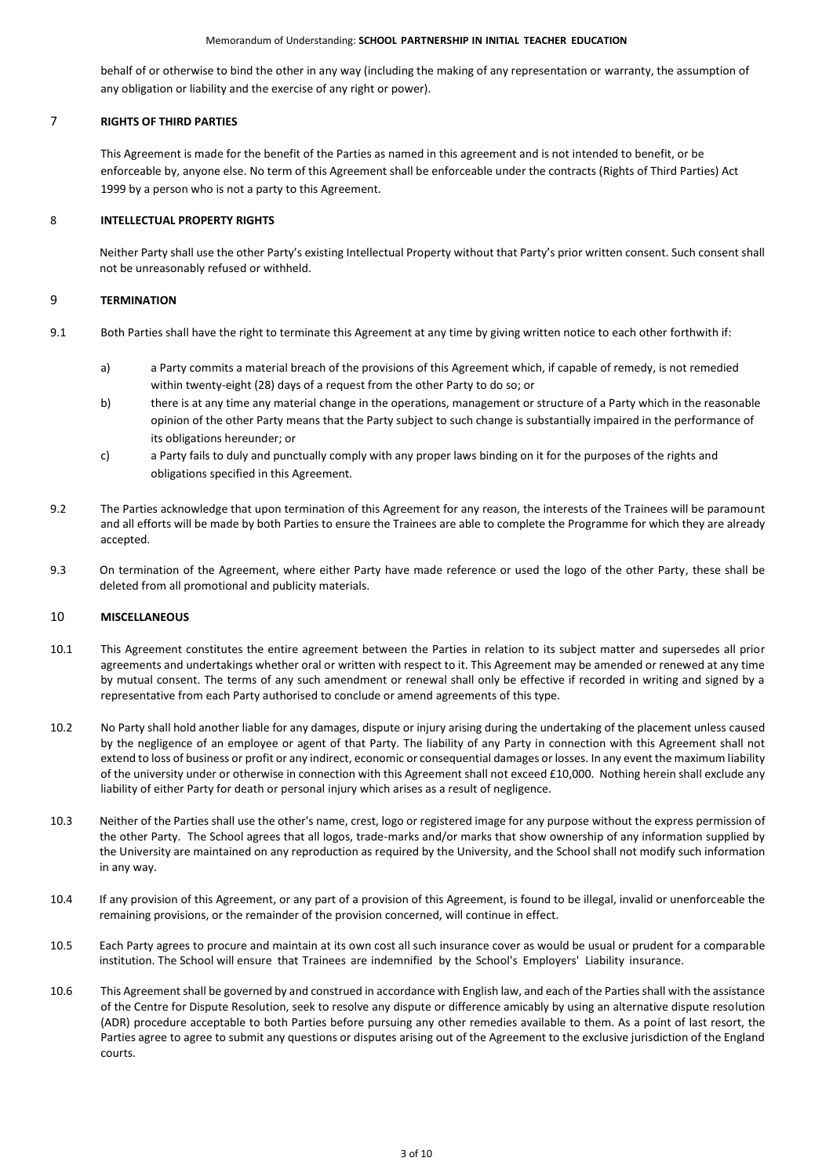#### Memorandum of Understanding: **SCHOOL PARTNERSHIP IN INITIAL TEACHER EDUCATION**

behalf of or otherwise to bind the other in any way (including the making of any representation or warranty, the assumption of any obligation or liability and the exercise of any right or power).

## 7 **RIGHTS OF THIRD PARTIES**

This Agreement is made for the benefit of the Parties as named in this agreement and is not intended to benefit, or be enforceable by, anyone else. No term of this Agreement shall be enforceable under the contracts (Rights of Third Parties) Act 1999 by a person who is not a party to this Agreement.

## 8 **INTELLECTUAL PROPERTY RIGHTS**

Neither Party shall use the other Party's existing Intellectual Property without that Party's prior written consent. Such consent shall not be unreasonably refused or withheld.

## 9 **TERMINATION**

- 9.1 Both Parties shall have the right to terminate this Agreement at any time by giving written notice to each other forthwith if:
	- a) a Party commits a material breach of the provisions of this Agreement which, if capable of remedy, is not remedied within twenty-eight (28) days of a request from the other Party to do so; or
	- b) there is at any time any material change in the operations, management or structure of a Party which in the reasonable opinion of the other Party means that the Party subject to such change is substantially impaired in the performance of its obligations hereunder; or
	- c) a Party fails to duly and punctually comply with any proper laws binding on it for the purposes of the rights and obligations specified in this Agreement.
- 9.2 The Parties acknowledge that upon termination of this Agreement for any reason, the interests of the Trainees will be paramount and all efforts will be made by both Parties to ensure the Trainees are able to complete the Programme for which they are already accepted.
- 9.3 On termination of the Agreement, where either Party have made reference or used the logo of the other Party, these shall be deleted from all promotional and publicity materials.

## 10 **MISCELLANEOUS**

- 10.1 This Agreement constitutes the entire agreement between the Parties in relation to its subject matter and supersedes all prior agreements and undertakings whether oral or written with respect to it. This Agreement may be amended or renewed at any time by mutual consent. The terms of any such amendment or renewal shall only be effective if recorded in writing and signed by a representative from each Party authorised to conclude or amend agreements of this type.
- 10.2 No Party shall hold another liable for any damages, dispute or injury arising during the undertaking of the placement unless caused by the negligence of an employee or agent of that Party. The liability of any Party in connection with this Agreement shall not extend to loss of business or profit or any indirect, economic or consequential damages or losses. In any event the maximum liability of the university under or otherwise in connection with this Agreement shall not exceed £10,000. Nothing herein shall exclude any liability of either Party for death or personal injury which arises as a result of negligence.
- 10.3 Neither of the Parties shall use the other's name, crest, logo or registered image for any purpose without the express permission of the other Party. The School agrees that all logos, trade-marks and/or marks that show ownership of any information supplied by the University are maintained on any reproduction as required by the University, and the School shall not modify such information in any way.
- 10.4 If any provision of this Agreement, or any part of a provision of this Agreement, is found to be illegal, invalid or unenforceable the remaining provisions, or the remainder of the provision concerned, will continue in effect.
- 10.5 Each Party agrees to procure and maintain at its own cost all such insurance cover as would be usual or prudent for a comparable institution. The School will ensure that Trainees are indemnified by the School's Employers' Liability insurance.
- 10.6 This Agreement shall be governed by and construed in accordance with English law, and each of the Parties shall with the assistance of the Centre for Dispute Resolution, seek to resolve any dispute or difference amicably by using an alternative dispute resolution (ADR) procedure acceptable to both Parties before pursuing any other remedies available to them. As a point of last resort, the Parties agree to agree to submit any questions or disputes arising out of the Agreement to the exclusive jurisdiction of the England courts.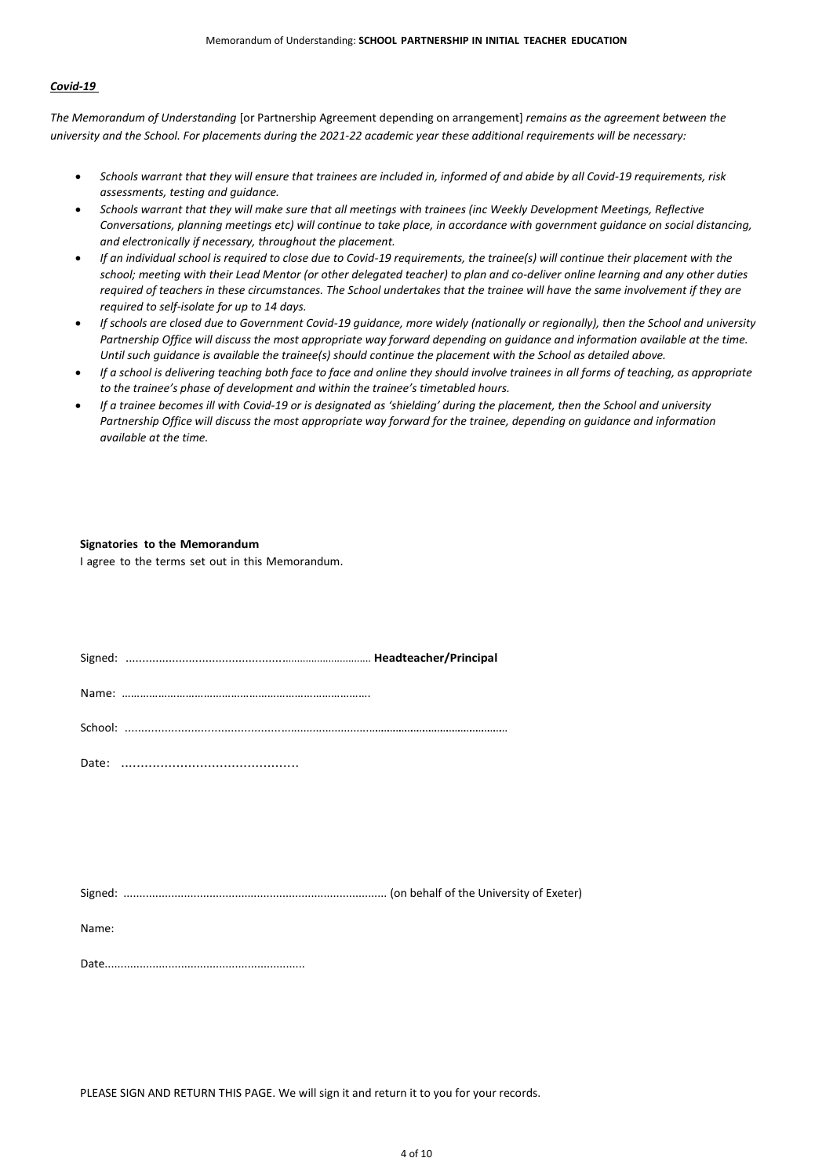# *Covid-19*

*The Memorandum of Understanding* [or Partnership Agreement depending on arrangement] *remains as the agreement between the university and the School. For placements during the 2021-22 academic year these additional requirements will be necessary:*

- *Schools warrant that they will ensure that trainees are included in, informed of and abide by all Covid-19 requirements, risk assessments, testing and guidance.*
- *Schools warrant that they will make sure that all meetings with trainees (inc Weekly Development Meetings, Reflective Conversations, planning meetings etc) will continue to take place, in accordance with government guidance on social distancing, and electronically if necessary, throughout the placement.*
- *If an individual school is required to close due to Covid-19 requirements, the trainee(s) will continue their placement with the school; meeting with their Lead Mentor (or other delegated teacher) to plan and co-deliver online learning and any other duties required of teachers in these circumstances. The School undertakes that the trainee will have the same involvement if they are required to self-isolate for up to 14 days.*
- *If schools are closed due to Government Covid-19 guidance, more widely (nationally or regionally), then the School and university Partnership Office will discuss the most appropriate way forward depending on guidance and information available at the time. Until such guidance is available the trainee(s) should continue the placement with the School as detailed above.*
- *If a school is delivering teaching both face to face and online they should involve trainees in all forms of teaching, as appropriate to the trainee's phase of development and within the trainee's timetabled hours.*
- *If a trainee becomes ill with Covid-19 or is designated as 'shielding' during the placement, then the School and university Partnership Office will discuss the most appropriate way forward for the trainee, depending on guidance and information available at the time.*

#### **Signatories to the Memorandum**

I agree to the terms set out in this Memorandum.

Signed: .............................................................................. **Headteacher/Principal**

Name: ……………………………………………………………………….

School: ...........................................................................……………………………………………………………

Date: .............................................

Signed: ................................................................................... (on behalf of the University of Exeter)

Name:

Date...............................................................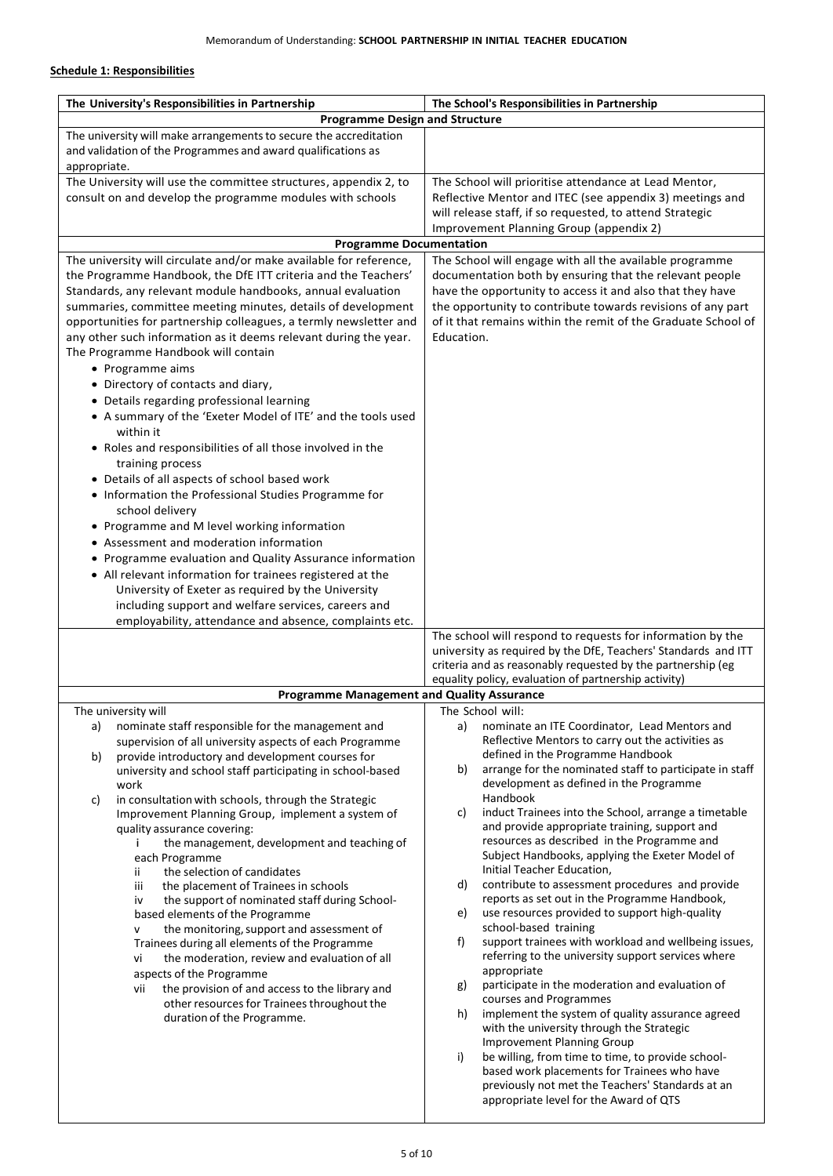# **Schedule 1: Responsibilities**

| The University's Responsibilities in Partnership                                                                  | The School's Responsibilities in Partnership                                                                        |  |  |
|-------------------------------------------------------------------------------------------------------------------|---------------------------------------------------------------------------------------------------------------------|--|--|
| <b>Programme Design and Structure</b>                                                                             |                                                                                                                     |  |  |
| The university will make arrangements to secure the accreditation                                                 |                                                                                                                     |  |  |
| and validation of the Programmes and award qualifications as<br>appropriate.                                      |                                                                                                                     |  |  |
| The University will use the committee structures, appendix 2, to                                                  | The School will prioritise attendance at Lead Mentor,                                                               |  |  |
| consult on and develop the programme modules with schools                                                         | Reflective Mentor and ITEC (see appendix 3) meetings and                                                            |  |  |
|                                                                                                                   | will release staff, if so requested, to attend Strategic                                                            |  |  |
|                                                                                                                   | Improvement Planning Group (appendix 2)                                                                             |  |  |
| <b>Programme Documentation</b><br>The university will circulate and/or make available for reference,              |                                                                                                                     |  |  |
| the Programme Handbook, the DfE ITT criteria and the Teachers'                                                    | The School will engage with all the available programme<br>documentation both by ensuring that the relevant people  |  |  |
| Standards, any relevant module handbooks, annual evaluation                                                       | have the opportunity to access it and also that they have                                                           |  |  |
| summaries, committee meeting minutes, details of development                                                      | the opportunity to contribute towards revisions of any part                                                         |  |  |
| opportunities for partnership colleagues, a termly newsletter and                                                 | of it that remains within the remit of the Graduate School of                                                       |  |  |
| any other such information as it deems relevant during the year.<br>The Programme Handbook will contain           | Education.                                                                                                          |  |  |
| • Programme aims                                                                                                  |                                                                                                                     |  |  |
| • Directory of contacts and diary,                                                                                |                                                                                                                     |  |  |
| • Details regarding professional learning                                                                         |                                                                                                                     |  |  |
| • A summary of the 'Exeter Model of ITE' and the tools used                                                       |                                                                                                                     |  |  |
| within it<br>• Roles and responsibilities of all those involved in the                                            |                                                                                                                     |  |  |
| training process                                                                                                  |                                                                                                                     |  |  |
| • Details of all aspects of school based work                                                                     |                                                                                                                     |  |  |
| • Information the Professional Studies Programme for                                                              |                                                                                                                     |  |  |
| school delivery<br>• Programme and M level working information                                                    |                                                                                                                     |  |  |
| • Assessment and moderation information                                                                           |                                                                                                                     |  |  |
| • Programme evaluation and Quality Assurance information                                                          |                                                                                                                     |  |  |
| • All relevant information for trainees registered at the                                                         |                                                                                                                     |  |  |
| University of Exeter as required by the University                                                                |                                                                                                                     |  |  |
| including support and welfare services, careers and<br>employability, attendance and absence, complaints etc.     |                                                                                                                     |  |  |
|                                                                                                                   | The school will respond to requests for information by the                                                          |  |  |
|                                                                                                                   | university as required by the DfE, Teachers' Standards and ITT                                                      |  |  |
|                                                                                                                   | criteria and as reasonably requested by the partnership (eg<br>equality policy, evaluation of partnership activity) |  |  |
| <b>Programme Management and Quality Assurance</b>                                                                 |                                                                                                                     |  |  |
| The university will                                                                                               | The School will:                                                                                                    |  |  |
| nominate staff responsible for the management and<br>a)                                                           | nominate an ITE Coordinator, Lead Mentors and<br>a)                                                                 |  |  |
| supervision of all university aspects of each Programme<br>provide introductory and development courses for<br>b) | Reflective Mentors to carry out the activities as<br>defined in the Programme Handbook                              |  |  |
| university and school staff participating in school-based                                                         | arrange for the nominated staff to participate in staff<br>b)                                                       |  |  |
| work                                                                                                              | development as defined in the Programme                                                                             |  |  |
| in consultation with schools, through the Strategic<br>c)<br>Improvement Planning Group, implement a system of    | Handbook<br>induct Trainees into the School, arrange a timetable<br>C)                                              |  |  |
| quality assurance covering:                                                                                       | and provide appropriate training, support and                                                                       |  |  |
| the management, development and teaching of                                                                       | resources as described in the Programme and                                                                         |  |  |
| each Programme<br>the selection of candidates<br>ij.                                                              | Subject Handbooks, applying the Exeter Model of<br>Initial Teacher Education,                                       |  |  |
| iii<br>the placement of Trainees in schools                                                                       | contribute to assessment procedures and provide<br>d)                                                               |  |  |
| the support of nominated staff during School-<br>iv                                                               | reports as set out in the Programme Handbook,                                                                       |  |  |
| based elements of the Programme<br>the monitoring, support and assessment of<br>v                                 | use resources provided to support high-quality<br>e)<br>school-based training                                       |  |  |
| Trainees during all elements of the Programme                                                                     | f)<br>support trainees with workload and wellbeing issues,                                                          |  |  |
| the moderation, review and evaluation of all<br>vi                                                                | referring to the university support services where                                                                  |  |  |
| aspects of the Programme                                                                                          | appropriate<br>participate in the moderation and evaluation of<br>g)                                                |  |  |
| the provision of and access to the library and<br>vii<br>other resources for Trainees throughout the              | courses and Programmes                                                                                              |  |  |
| duration of the Programme.                                                                                        | implement the system of quality assurance agreed<br>h)                                                              |  |  |
|                                                                                                                   | with the university through the Strategic<br><b>Improvement Planning Group</b>                                      |  |  |
|                                                                                                                   | i)<br>be willing, from time to time, to provide school-                                                             |  |  |
|                                                                                                                   | based work placements for Trainees who have                                                                         |  |  |
|                                                                                                                   | previously not met the Teachers' Standards at an<br>appropriate level for the Award of QTS                          |  |  |
|                                                                                                                   |                                                                                                                     |  |  |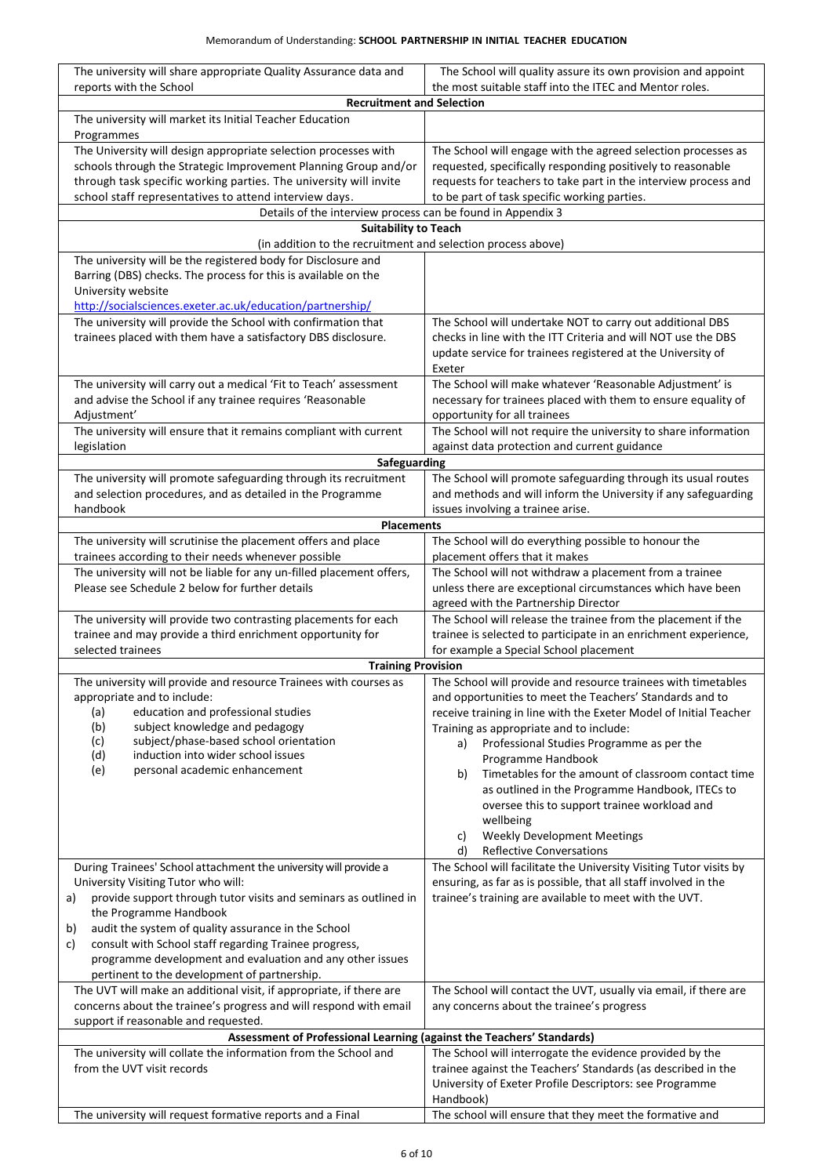| The university will share appropriate Quality Assurance data and<br>reports with the School                                    | The School will quality assure its own provision and appoint<br>the most suitable staff into the ITEC and Mentor roles.                |
|--------------------------------------------------------------------------------------------------------------------------------|----------------------------------------------------------------------------------------------------------------------------------------|
| <b>Recruitment and Selection</b>                                                                                               |                                                                                                                                        |
| The university will market its Initial Teacher Education<br>Programmes                                                         |                                                                                                                                        |
| The University will design appropriate selection processes with                                                                | The School will engage with the agreed selection processes as                                                                          |
| schools through the Strategic Improvement Planning Group and/or                                                                | requested, specifically responding positively to reasonable                                                                            |
| through task specific working parties. The university will invite                                                              | requests for teachers to take part in the interview process and                                                                        |
| school staff representatives to attend interview days.                                                                         | to be part of task specific working parties.                                                                                           |
| Details of the interview process can be found in Appendix 3                                                                    |                                                                                                                                        |
| <b>Suitability to Teach</b><br>(in addition to the recruitment and selection process above)                                    |                                                                                                                                        |
| The university will be the registered body for Disclosure and                                                                  |                                                                                                                                        |
| Barring (DBS) checks. The process for this is available on the                                                                 |                                                                                                                                        |
| University website                                                                                                             |                                                                                                                                        |
| http://socialsciences.exeter.ac.uk/education/partnership/                                                                      |                                                                                                                                        |
| The university will provide the School with confirmation that<br>trainees placed with them have a satisfactory DBS disclosure. | The School will undertake NOT to carry out additional DBS                                                                              |
|                                                                                                                                | checks in line with the ITT Criteria and will NOT use the DBS<br>update service for trainees registered at the University of<br>Exeter |
| The university will carry out a medical 'Fit to Teach' assessment                                                              | The School will make whatever 'Reasonable Adjustment' is                                                                               |
| and advise the School if any trainee requires 'Reasonable<br>Adjustment'                                                       | necessary for trainees placed with them to ensure equality of<br>opportunity for all trainees                                          |
| The university will ensure that it remains compliant with current                                                              | The School will not require the university to share information                                                                        |
| legislation<br>Safeguarding                                                                                                    | against data protection and current guidance                                                                                           |
| The university will promote safeguarding through its recruitment                                                               | The School will promote safeguarding through its usual routes                                                                          |
| and selection procedures, and as detailed in the Programme<br>handbook                                                         | and methods and will inform the University if any safeguarding<br>issues involving a trainee arise.                                    |
| <b>Placements</b>                                                                                                              |                                                                                                                                        |
| The university will scrutinise the placement offers and place                                                                  | The School will do everything possible to honour the                                                                                   |
| trainees according to their needs whenever possible                                                                            | placement offers that it makes                                                                                                         |
| The university will not be liable for any un-filled placement offers,                                                          | The School will not withdraw a placement from a trainee                                                                                |
| Please see Schedule 2 below for further details                                                                                | unless there are exceptional circumstances which have been                                                                             |
| The university will provide two contrasting placements for each                                                                | agreed with the Partnership Director<br>The School will release the trainee from the placement if the                                  |
| trainee and may provide a third enrichment opportunity for                                                                     | trainee is selected to participate in an enrichment experience,                                                                        |
| selected trainees                                                                                                              | for example a Special School placement                                                                                                 |
| <b>Training Provision</b>                                                                                                      |                                                                                                                                        |
| The university will provide and resource Trainees with courses as                                                              | The School will provide and resource trainees with timetables                                                                          |
| appropriate and to include:                                                                                                    | and opportunities to meet the Teachers' Standards and to                                                                               |
| education and professional studies<br>(a)<br>subject knowledge and pedagogy<br>(b)                                             | receive training in line with the Exeter Model of Initial Teacher<br>Training as appropriate and to include:                           |
| subject/phase-based school orientation<br>(c)                                                                                  | Professional Studies Programme as per the<br>a)                                                                                        |
| induction into wider school issues<br>(d)                                                                                      | Programme Handbook                                                                                                                     |
| personal academic enhancement<br>(e)                                                                                           | Timetables for the amount of classroom contact time<br>b)                                                                              |
|                                                                                                                                | as outlined in the Programme Handbook, ITECs to                                                                                        |
|                                                                                                                                | oversee this to support trainee workload and                                                                                           |
|                                                                                                                                | wellbeing                                                                                                                              |
|                                                                                                                                | <b>Weekly Development Meetings</b><br>c)                                                                                               |
| During Trainees' School attachment the university will provide a                                                               | d)<br><b>Reflective Conversations</b><br>The School will facilitate the University Visiting Tutor visits by                            |
| University Visiting Tutor who will:                                                                                            | ensuring, as far as is possible, that all staff involved in the                                                                        |
| provide support through tutor visits and seminars as outlined in<br>a)                                                         | trainee's training are available to meet with the UVT.                                                                                 |
| the Programme Handbook                                                                                                         |                                                                                                                                        |
| audit the system of quality assurance in the School<br>b)                                                                      |                                                                                                                                        |
| consult with School staff regarding Trainee progress,<br>c)                                                                    |                                                                                                                                        |
| programme development and evaluation and any other issues<br>pertinent to the development of partnership.                      |                                                                                                                                        |
| The UVT will make an additional visit, if appropriate, if there are                                                            | The School will contact the UVT, usually via email, if there are                                                                       |
| concerns about the trainee's progress and will respond with email                                                              | any concerns about the trainee's progress                                                                                              |
| support if reasonable and requested.<br>Assessment of Professional Learning (against the Teachers' Standards)                  |                                                                                                                                        |
| The university will collate the information from the School and                                                                | The School will interrogate the evidence provided by the                                                                               |
| from the UVT visit records                                                                                                     | trainee against the Teachers' Standards (as described in the                                                                           |
|                                                                                                                                | University of Exeter Profile Descriptors: see Programme                                                                                |
|                                                                                                                                | Handbook)                                                                                                                              |
| The university will request formative reports and a Final                                                                      | The school will ensure that they meet the formative and                                                                                |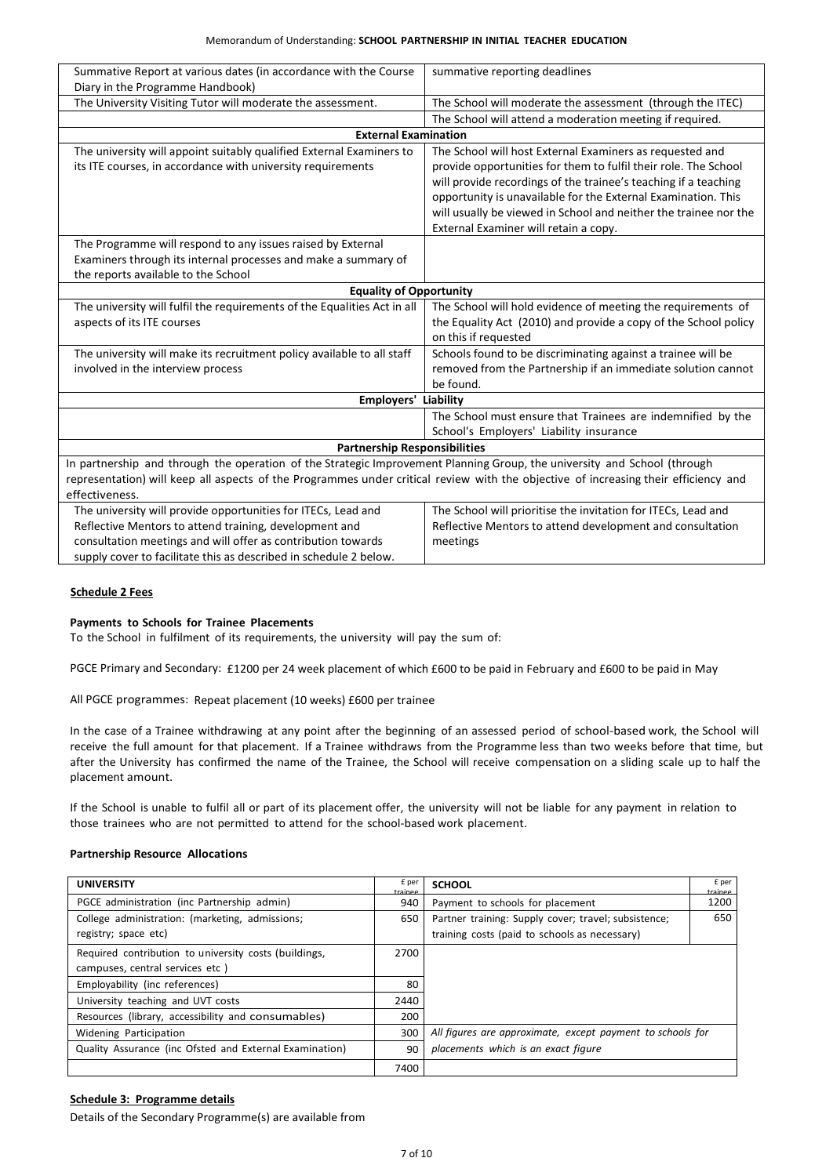| Summative Report at various dates (in accordance with the Course<br>Diary in the Programme Handbook)                                | summative reporting deadlines                                    |  |  |
|-------------------------------------------------------------------------------------------------------------------------------------|------------------------------------------------------------------|--|--|
| The University Visiting Tutor will moderate the assessment.                                                                         |                                                                  |  |  |
|                                                                                                                                     | The School will moderate the assessment (through the ITEC)       |  |  |
|                                                                                                                                     | The School will attend a moderation meeting if required.         |  |  |
| <b>External Examination</b>                                                                                                         |                                                                  |  |  |
| The university will appoint suitably qualified External Examiners to                                                                | The School will host External Examiners as requested and         |  |  |
| its ITE courses, in accordance with university requirements                                                                         | provide opportunities for them to fulfil their role. The School  |  |  |
|                                                                                                                                     | will provide recordings of the trainee's teaching if a teaching  |  |  |
|                                                                                                                                     | opportunity is unavailable for the External Examination. This    |  |  |
|                                                                                                                                     | will usually be viewed in School and neither the trainee nor the |  |  |
|                                                                                                                                     | External Examiner will retain a copy.                            |  |  |
| The Programme will respond to any issues raised by External                                                                         |                                                                  |  |  |
| Examiners through its internal processes and make a summary of                                                                      |                                                                  |  |  |
| the reports available to the School                                                                                                 |                                                                  |  |  |
| <b>Equality of Opportunity</b>                                                                                                      |                                                                  |  |  |
| The university will fulfil the requirements of the Equalities Act in all                                                            | The School will hold evidence of meeting the requirements of     |  |  |
| aspects of its ITE courses                                                                                                          | the Equality Act (2010) and provide a copy of the School policy  |  |  |
|                                                                                                                                     | on this if requested                                             |  |  |
| The university will make its recruitment policy available to all staff                                                              | Schools found to be discriminating against a trainee will be     |  |  |
| involved in the interview process                                                                                                   | removed from the Partnership if an immediate solution cannot     |  |  |
|                                                                                                                                     | be found.                                                        |  |  |
| <b>Employers' Liability</b>                                                                                                         |                                                                  |  |  |
|                                                                                                                                     | The School must ensure that Trainees are indemnified by the      |  |  |
|                                                                                                                                     | School's Employers' Liability insurance                          |  |  |
| <b>Partnership Responsibilities</b>                                                                                                 |                                                                  |  |  |
| In partnership and through the operation of the Strategic Improvement Planning Group, the university and School (through            |                                                                  |  |  |
| representation) will keep all aspects of the Programmes under critical review with the objective of increasing their efficiency and |                                                                  |  |  |
| effectiveness.                                                                                                                      |                                                                  |  |  |
| The university will provide opportunities for ITECs, Lead and                                                                       | The School will prioritise the invitation for ITECs, Lead and    |  |  |
| Reflective Mentors to attend training, development and                                                                              | Reflective Mentors to attend development and consultation        |  |  |
| consultation meetings and will offer as contribution towards                                                                        | meetings                                                         |  |  |
| supply cover to facilitate this as described in schedule 2 below.                                                                   |                                                                  |  |  |

## **Schedule 2 Fees**

#### **Payments to Schools for Trainee Placements**

To the School in fulfilment of its requirements, the university will pay the sum of:

PGCE Primary and Secondary: £1200 per 24 week placement of which £600 to be paid in February and £600 to be paid in May

All PGCE programmes: Repeat placement (10 weeks) £600 per trainee

In the case of a Trainee withdrawing at any point after the beginning of an assessed period of school-based work, the School will receive the full amount for that placement. If a Trainee withdraws from the Programme less than two weeks before that time, but after the University has confirmed the name of the Trainee, the School will receive compensation on a sliding scale up to half the placement amount.

If the School is unable to fulfil all or part of its placement offer, the university will not be liable for any payment in relation to those trainees who are not permitted to attend for the school-based work placement.

## **Partnership Resource Allocations**

| <b>UNIVERSITY</b>                                                                        | £ per<br>trainee | <b>SCHOOL</b>                                                                                         | £ per           |
|------------------------------------------------------------------------------------------|------------------|-------------------------------------------------------------------------------------------------------|-----------------|
| PGCE administration (inc Partnership admin)                                              |                  | Payment to schools for placement                                                                      | trainee<br>1200 |
| College administration: (marketing, admissions;<br>registry; space etc)                  | 650              | Partner training: Supply cover; travel; subsistence;<br>training costs (paid to schools as necessary) | 650             |
| Required contribution to university costs (buildings,<br>campuses, central services etc) | 2700             |                                                                                                       |                 |
| Employability (inc references)                                                           |                  |                                                                                                       |                 |
| University teaching and UVT costs                                                        | 2440             |                                                                                                       |                 |
| Resources (library, accessibility and consumables)                                       | 200              |                                                                                                       |                 |
| Widening Participation                                                                   |                  | All figures are approximate, except payment to schools for                                            |                 |
| Quality Assurance (inc Ofsted and External Examination)                                  | 90               | placements which is an exact figure                                                                   |                 |
|                                                                                          | 7400             |                                                                                                       |                 |

## **Schedule 3: Programme details**

Details of the Secondary Programme(s) are available from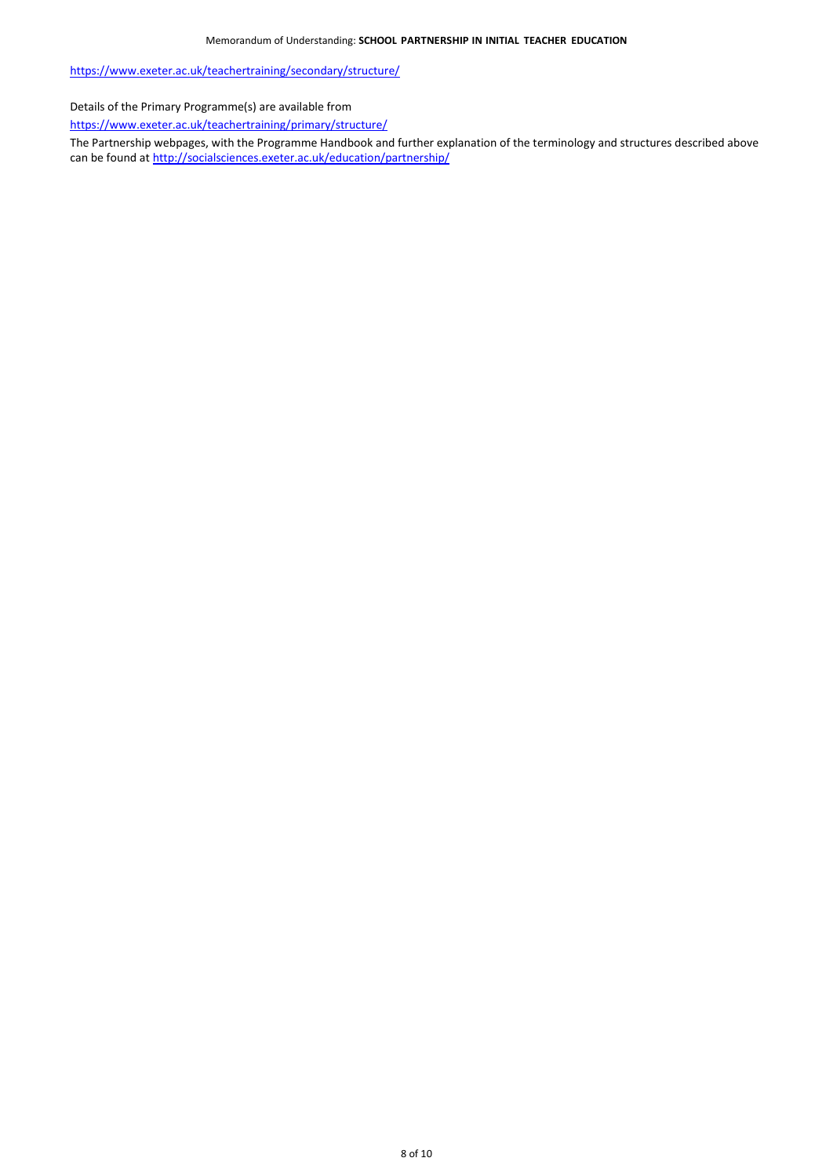<https://www.exeter.ac.uk/teachertraining/secondary/structure/>

Details of the Primary Programme(s) are available from

<https://www.exeter.ac.uk/teachertraining/primary/structure/>

The Partnership webpages, with the Programme Handbook and further explanation of the terminology and structures described above can be found a[t http://socialsciences.exeter.ac.uk/education/partnership/](http://socialsciences.exeter.ac.uk/education/partnership/)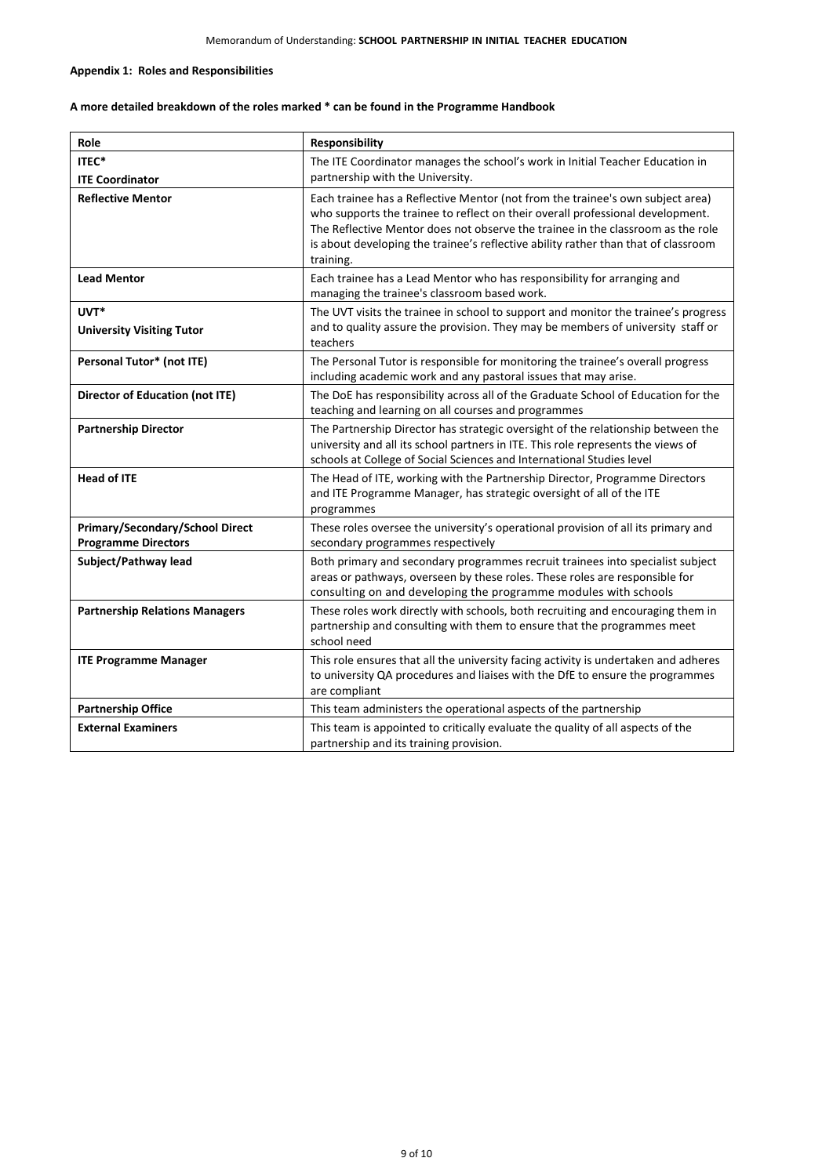## **Appendix 1: Roles and Responsibilities**

# **A more detailed breakdown of the roles marked \* can be found in the Programme Handbook**

| Role                                                                 | <b>Responsibility</b>                                                                                                                                                                                                                                                                                                                                  |
|----------------------------------------------------------------------|--------------------------------------------------------------------------------------------------------------------------------------------------------------------------------------------------------------------------------------------------------------------------------------------------------------------------------------------------------|
| ITEC*<br><b>ITE Coordinator</b>                                      | The ITE Coordinator manages the school's work in Initial Teacher Education in<br>partnership with the University.                                                                                                                                                                                                                                      |
| <b>Reflective Mentor</b>                                             | Each trainee has a Reflective Mentor (not from the trainee's own subject area)<br>who supports the trainee to reflect on their overall professional development.<br>The Reflective Mentor does not observe the trainee in the classroom as the role<br>is about developing the trainee's reflective ability rather than that of classroom<br>training. |
| <b>Lead Mentor</b>                                                   | Each trainee has a Lead Mentor who has responsibility for arranging and<br>managing the trainee's classroom based work.                                                                                                                                                                                                                                |
| UVT*<br><b>University Visiting Tutor</b>                             | The UVT visits the trainee in school to support and monitor the trainee's progress<br>and to quality assure the provision. They may be members of university staff or<br>teachers                                                                                                                                                                      |
| Personal Tutor* (not ITE)                                            | The Personal Tutor is responsible for monitoring the trainee's overall progress<br>including academic work and any pastoral issues that may arise.                                                                                                                                                                                                     |
| Director of Education (not ITE)                                      | The DoE has responsibility across all of the Graduate School of Education for the<br>teaching and learning on all courses and programmes                                                                                                                                                                                                               |
| <b>Partnership Director</b>                                          | The Partnership Director has strategic oversight of the relationship between the<br>university and all its school partners in ITE. This role represents the views of<br>schools at College of Social Sciences and International Studies level                                                                                                          |
| <b>Head of ITE</b>                                                   | The Head of ITE, working with the Partnership Director, Programme Directors<br>and ITE Programme Manager, has strategic oversight of all of the ITE<br>programmes                                                                                                                                                                                      |
| <b>Primary/Secondary/School Direct</b><br><b>Programme Directors</b> | These roles oversee the university's operational provision of all its primary and<br>secondary programmes respectively                                                                                                                                                                                                                                 |
| Subject/Pathway lead                                                 | Both primary and secondary programmes recruit trainees into specialist subject<br>areas or pathways, overseen by these roles. These roles are responsible for<br>consulting on and developing the programme modules with schools                                                                                                                       |
| <b>Partnership Relations Managers</b>                                | These roles work directly with schools, both recruiting and encouraging them in<br>partnership and consulting with them to ensure that the programmes meet<br>school need                                                                                                                                                                              |
| <b>ITE Programme Manager</b>                                         | This role ensures that all the university facing activity is undertaken and adheres<br>to university QA procedures and liaises with the DfE to ensure the programmes<br>are compliant                                                                                                                                                                  |
| <b>Partnership Office</b>                                            | This team administers the operational aspects of the partnership                                                                                                                                                                                                                                                                                       |
| <b>External Examiners</b>                                            | This team is appointed to critically evaluate the quality of all aspects of the<br>partnership and its training provision.                                                                                                                                                                                                                             |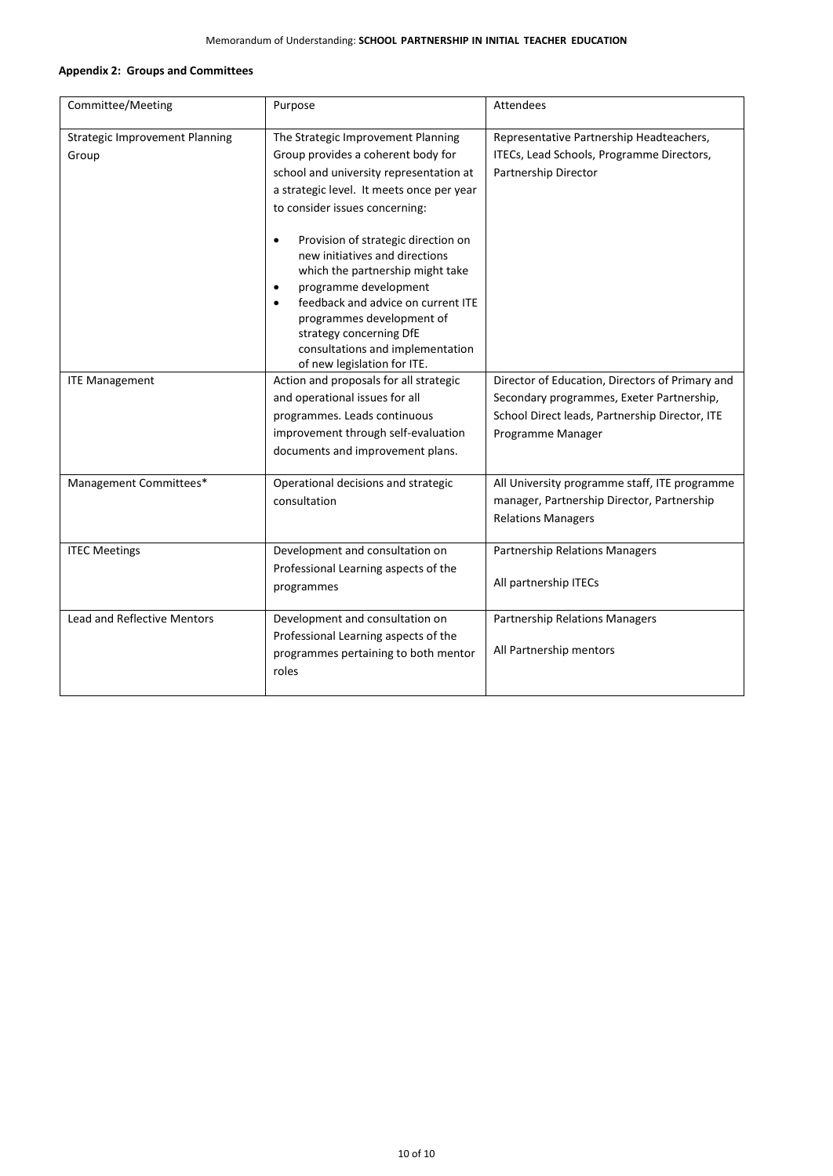## **Appendix 2: Groups and Committees**

| Committee/Meeting                              | Purpose                                                                                                                                                                                                                                                                                                                                    | Attendees                                                                                                                                                           |
|------------------------------------------------|--------------------------------------------------------------------------------------------------------------------------------------------------------------------------------------------------------------------------------------------------------------------------------------------------------------------------------------------|---------------------------------------------------------------------------------------------------------------------------------------------------------------------|
| <b>Strategic Improvement Planning</b><br>Group | The Strategic Improvement Planning<br>Group provides a coherent body for<br>school and university representation at<br>a strategic level. It meets once per year<br>to consider issues concerning:                                                                                                                                         | Representative Partnership Headteachers,<br>ITECs, Lead Schools, Programme Directors,<br>Partnership Director                                                       |
|                                                | Provision of strategic direction on<br>$\bullet$<br>new initiatives and directions<br>which the partnership might take<br>programme development<br>$\bullet$<br>feedback and advice on current ITE<br>$\bullet$<br>programmes development of<br>strategy concerning DfE<br>consultations and implementation<br>of new legislation for ITE. |                                                                                                                                                                     |
| <b>ITE Management</b>                          | Action and proposals for all strategic<br>and operational issues for all<br>programmes. Leads continuous<br>improvement through self-evaluation<br>documents and improvement plans.                                                                                                                                                        | Director of Education, Directors of Primary and<br>Secondary programmes, Exeter Partnership,<br>School Direct leads, Partnership Director, ITE<br>Programme Manager |
| Management Committees*                         | Operational decisions and strategic<br>consultation                                                                                                                                                                                                                                                                                        | All University programme staff, ITE programme<br>manager, Partnership Director, Partnership<br><b>Relations Managers</b>                                            |
| <b>ITEC Meetings</b>                           | Development and consultation on<br>Professional Learning aspects of the<br>programmes                                                                                                                                                                                                                                                      | <b>Partnership Relations Managers</b><br>All partnership ITECs                                                                                                      |
| <b>Lead and Reflective Mentors</b>             | Development and consultation on<br>Professional Learning aspects of the<br>programmes pertaining to both mentor<br>roles                                                                                                                                                                                                                   | <b>Partnership Relations Managers</b><br>All Partnership mentors                                                                                                    |